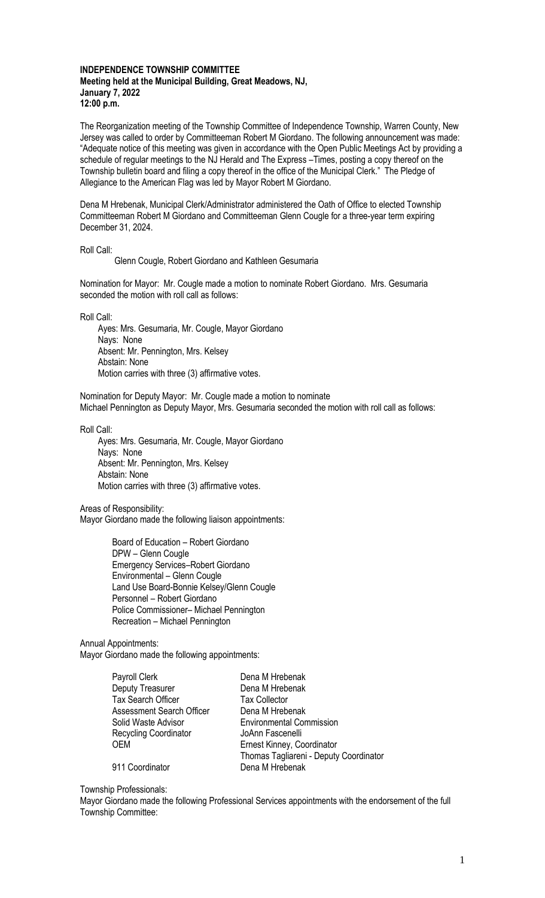#### **INDEPENDENCE TOWNSHIP COMMITTEE Meeting held at the Municipal Building, Great Meadows, NJ, January 7, 2022 12:00 p.m.**

The Reorganization meeting of the Township Committee of Independence Township, Warren County, New Jersey was called to order by Committeeman Robert M Giordano. The following announcement was made: "Adequate notice of this meeting was given in accordance with the Open Public Meetings Act by providing a schedule of regular meetings to the NJ Herald and The Express –Times, posting a copy thereof on the Township bulletin board and filing a copy thereof in the office of the Municipal Clerk." The Pledge of Allegiance to the American Flag was led by Mayor Robert M Giordano.

Dena M Hrebenak, Municipal Clerk/Administrator administered the Oath of Office to elected Township Committeeman Robert M Giordano and Committeeman Glenn Cougle for a three-year term expiring December 31, 2024.

Roll Call:

Glenn Cougle, Robert Giordano and Kathleen Gesumaria

Nomination for Mayor: Mr. Cougle made a motion to nominate Robert Giordano. Mrs. Gesumaria seconded the motion with roll call as follows:

Roll Call:

 Ayes: Mrs. Gesumaria, Mr. Cougle, Mayor Giordano Nays: None Absent: Mr. Pennington, Mrs. Kelsey Abstain: None Motion carries with three (3) affirmative votes.

Nomination for Deputy Mayor: Mr. Cougle made a motion to nominate Michael Pennington as Deputy Mayor, Mrs. Gesumaria seconded the motion with roll call as follows:

Roll Call:

 Ayes: Mrs. Gesumaria, Mr. Cougle, Mayor Giordano Nays: None Absent: Mr. Pennington, Mrs. Kelsey Abstain: None Motion carries with three (3) affirmative votes.

Areas of Responsibility:

Mayor Giordano made the following liaison appointments:

Board of Education – Robert Giordano DPW – Glenn Cougle Emergency Services–Robert Giordano Environmental – Glenn Cougle Land Use Board-Bonnie Kelsey/Glenn Cougle Personnel – Robert Giordano Police Commissioner– Michael Pennington Recreation – Michael Pennington

Annual Appointments: Mayor Giordano made the following appointments:

| Deputy Treasurer<br>Dena M Hrebenak<br>Tax Search Officer<br><b>Tax Collector</b><br>Assessment Search Officer<br>Dena M Hrebenak<br><b>Environmental Commission</b><br>Solid Waste Advisor<br>Recycling Coordinator<br>JoAnn Fascenelli<br><b>OEM</b><br>Ernest Kinney, Coordinator | Payroll Clerk   | Dena M Hrebenak                        |
|--------------------------------------------------------------------------------------------------------------------------------------------------------------------------------------------------------------------------------------------------------------------------------------|-----------------|----------------------------------------|
|                                                                                                                                                                                                                                                                                      |                 |                                        |
|                                                                                                                                                                                                                                                                                      |                 |                                        |
|                                                                                                                                                                                                                                                                                      |                 |                                        |
|                                                                                                                                                                                                                                                                                      |                 |                                        |
|                                                                                                                                                                                                                                                                                      |                 |                                        |
|                                                                                                                                                                                                                                                                                      |                 |                                        |
|                                                                                                                                                                                                                                                                                      |                 | Thomas Tagliareni - Deputy Coordinator |
|                                                                                                                                                                                                                                                                                      | 911 Coordinator | Dena M Hrebenak                        |

Township Professionals:

Mayor Giordano made the following Professional Services appointments with the endorsement of the full Township Committee: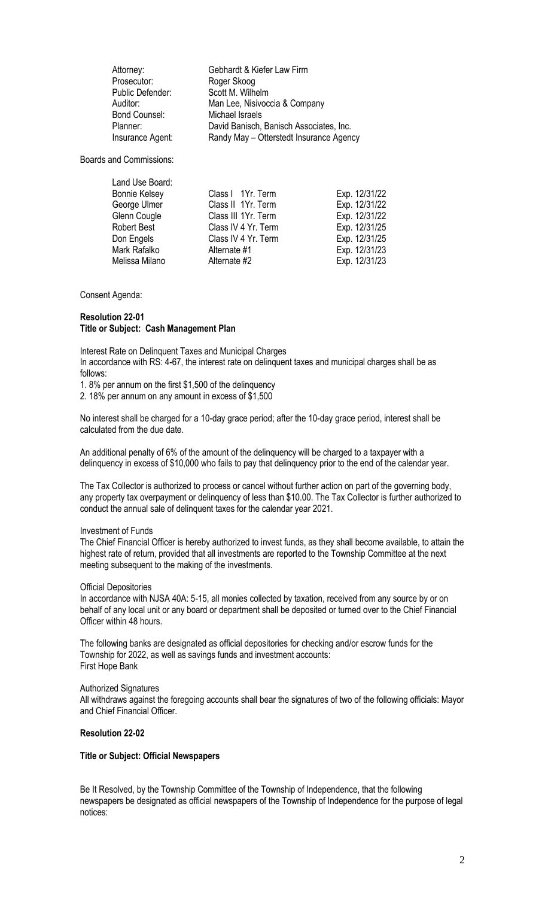Prosecutor: Roger Skoog<br>Public Defender: Scott M. Wilhelm Public Defender:<br>Auditor: Bond Counsel:

Attorney: Gebhardt & Kiefer Law Firm **Man Lee, Nisivoccia & Company<br>Michael Israels** Planner: David Banisch, Banisch Associates, Inc. Insurance Agent: Randy May – Otterstedt Insurance Agency

Boards and Commissions:

Land Use Board: Bonnie Kelsey George Ulmer Glenn Cougle Robert Best Don Engels Mark Rafalko Melissa Milano

| Class I 1Yr. Term   | Exp. 12/31/22 |
|---------------------|---------------|
| Class II 1Yr. Term  | Exp. 12/31/22 |
| Class III 1Yr. Term | Exp. 12/31/22 |
| Class IV 4 Yr. Term | Exp. 12/31/25 |
| Class IV 4 Yr. Term | Exp. 12/31/25 |
| Alternate #1        | Exp. 12/31/23 |
| Alternate #2        | Exp. 12/31/23 |

Consent Agenda:

## **Resolution 22-01 Title or Subject: Cash Management Plan**

Interest Rate on Delinquent Taxes and Municipal Charges In accordance with RS: 4-67, the interest rate on delinquent taxes and municipal charges shall be as follows:

1. 8% per annum on the first \$1,500 of the delinquency

2. 18% per annum on any amount in excess of \$1,500

No interest shall be charged for a 10-day grace period; after the 10-day grace period, interest shall be calculated from the due date.

An additional penalty of 6% of the amount of the delinquency will be charged to a taxpayer with a delinquency in excess of \$10,000 who fails to pay that delinquency prior to the end of the calendar year.

The Tax Collector is authorized to process or cancel without further action on part of the governing body, any property tax overpayment or delinquency of less than \$10.00. The Tax Collector is further authorized to conduct the annual sale of delinquent taxes for the calendar year 2021.

## Investment of Funds

The Chief Financial Officer is hereby authorized to invest funds, as they shall become available, to attain the highest rate of return, provided that all investments are reported to the Township Committee at the next meeting subsequent to the making of the investments.

## Official Depositories

In accordance with NJSA 40A: 5-15, all monies collected by taxation, received from any source by or on behalf of any local unit or any board or department shall be deposited or turned over to the Chief Financial Officer within 48 hours.

The following banks are designated as official depositories for checking and/or escrow funds for the Township for 2022, as well as savings funds and investment accounts: First Hope Bank

#### Authorized Signatures

All withdraws against the foregoing accounts shall bear the signatures of two of the following officials: Mayor and Chief Financial Officer.

## **Resolution 22-02**

## **Title or Subject: Official Newspapers**

Be It Resolved, by the Township Committee of the Township of Independence, that the following newspapers be designated as official newspapers of the Township of Independence for the purpose of legal notices: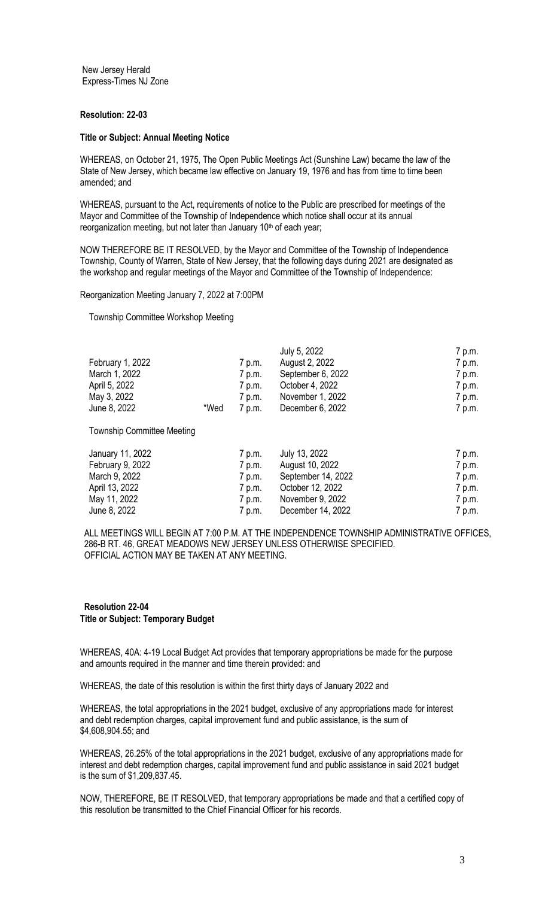New Jersey Herald Express-Times NJ Zone

## **Resolution: 22-03**

#### **Title or Subject: Annual Meeting Notice**

WHEREAS, on October 21, 1975, The Open Public Meetings Act (Sunshine Law) became the law of the State of New Jersey, which became law effective on January 19, 1976 and has from time to time been amended; and

WHEREAS, pursuant to the Act, requirements of notice to the Public are prescribed for meetings of the Mayor and Committee of the Township of Independence which notice shall occur at its annual reorganization meeting, but not later than January 10<sup>th</sup> of each year;

NOW THEREFORE BE IT RESOLVED, by the Mayor and Committee of the Township of Independence Township, County of Warren, State of New Jersey, that the following days during 2021 are designated as the workshop and regular meetings of the Mayor and Committee of the Township of Independence:

Reorganization Meeting January 7, 2022 at 7:00PM

Township Committee Workshop Meeting

|                  |      |        | July 5, 2022      | 7 p.m. |
|------------------|------|--------|-------------------|--------|
| February 1, 2022 |      | 7 p.m. | August 2, 2022    | 7 p.m. |
| March 1, 2022    |      | 7 p.m. | September 6, 2022 | 7 p.m. |
| April 5, 2022    |      | 7 p.m. | October 4, 2022   | 7 p.m. |
| May 3, 2022      |      | 7 p.m. | November 1, 2022  | 7 p.m. |
| June 8, 2022     | *Wed | 7 p.m. | December 6, 2022  | 7 p.m. |

Township Committee Meeting

| January 11, 2022 | 7 p.m. | July 13, 2022      | 7 p.m. |
|------------------|--------|--------------------|--------|
| February 9, 2022 | 7 p.m. | August 10, 2022    | 7 p.m. |
| March 9, 2022    | 7 p.m. | September 14, 2022 | 7 p.m. |
| April 13, 2022   | 7 p.m. | October 12, 2022   | 7 p.m. |
| May 11, 2022     | 7 p.m. | November 9, 2022   | 7 p.m. |
| June 8, 2022     | 7 p.m. | December 14, 2022  | 7 p.m. |

ALL MEETINGS WILL BEGIN AT 7:00 P.M. AT THE INDEPENDENCE TOWNSHIP ADMINISTRATIVE OFFICES, 286-B RT. 46, GREAT MEADOWS NEW JERSEY UNLESS OTHERWISE SPECIFIED. OFFICIAL ACTION MAY BE TAKEN AT ANY MEETING.

## **Resolution 22-04 Title or Subject: Temporary Budget**

WHEREAS, 40A: 4-19 Local Budget Act provides that temporary appropriations be made for the purpose and amounts required in the manner and time therein provided: and

WHEREAS, the date of this resolution is within the first thirty days of January 2022 and

WHEREAS, the total appropriations in the 2021 budget, exclusive of any appropriations made for interest and debt redemption charges, capital improvement fund and public assistance, is the sum of \$4,608,904.55; and

WHEREAS, 26.25% of the total appropriations in the 2021 budget, exclusive of any appropriations made for interest and debt redemption charges, capital improvement fund and public assistance in said 2021 budget is the sum of \$1,209,837.45.

NOW, THEREFORE, BE IT RESOLVED, that temporary appropriations be made and that a certified copy of this resolution be transmitted to the Chief Financial Officer for his records.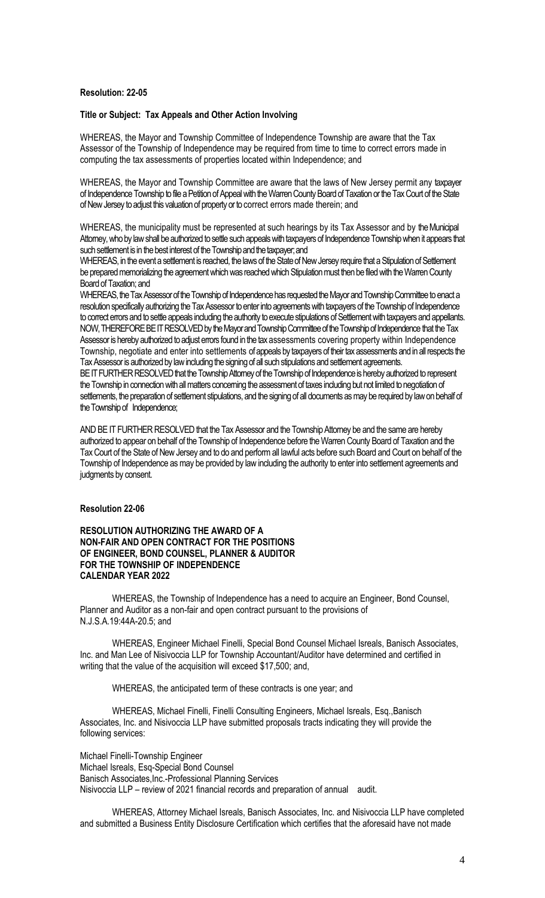#### **Resolution: 22-05**

### **Title or Subject: Tax Appeals and Other Action Involving**

WHEREAS, the Mayor and Township Committee of Independence Township are aware that the Tax Assessor of the Township of Independence may be required from time to time to correct errors made in computing the tax assessments of properties located within Independence; and

WHEREAS, the Mayor and Township Committee are aware that the laws of New Jersey permit any taxpayer of Independence Township to file a Petition of Appeal with the Warren County Board of Taxation or the Tax Court of the State of New Jersey to adjust this valuation of property or to correct errors made therein; and

WHEREAS, the municipality must be represented at such hearings by its Tax Assessor and by the Municipal Attorney, who by law shall be authorized to settle such appeals with taxpayers of Independence Township when it appears that such settlement is in the best interest of the Township and the taxpayer; and

WHEREAS, in the event a settlement is reached, the laws of the State of New Jersey require that a Stipulation of Settlement be prepared memorializing the agreement which was reached which Stipulation must then be filed with the Warren County Board of Taxation; and

WHEREAS, the Tax Assessor of the Township of Independence has requested the Mayor and Township Committee to enact a resolution specifically authorizing the Tax Assessor to enter into agreements with taxpayers of the Township of Independence to correct errors and to settle appeals including the authority to execute stipulations of Settlement with taxpayers and appellants. NOW, THEREFORE BE IT RESOLVED by the Mayor and Township Committee of the Township of Independence that the Tax Assessor is hereby authorized to adjust errors found in the tax assessments covering property within Independence Township, negotiate and enter into settlements of appeals by taxpayers of their tax assessments and in all respects the Tax Assessor is authorized by law including the signing of all such stipulations and settlement agreements.

BE IT FURTHER RESOLVED that the Township Attorney of the Township of Independence is hereby authorized to represent the Township in connection with all matters concerning the assessment of taxes including but not limited to negotiation of settlements, the preparation of settlement stipulations, and the signing of all documents as may be required by law on behalf of the Township of Independence;

AND BE IT FURTHER RESOLVED that the Tax Assessor and the Township Attorney be and the same are hereby authorized to appear on behalf of the Township of Independence before the Warren County Board of Taxation and the Tax Court of the State of New Jersey and to do and perform all lawful acts before such Board and Court on behalf of the Township of Independence as may be provided by law including the authority to enter into settlement agreements and judgments by consent.

#### **Resolution 22-06**

## **RESOLUTION AUTHORIZING THE AWARD OF A NON-FAIR AND OPEN CONTRACT FOR THE POSITIONS OF ENGINEER, BOND COUNSEL, PLANNER & AUDITOR FOR THE TOWNSHIP OF INDEPENDENCE CALENDAR YEAR 2022**

WHEREAS, the Township of Independence has a need to acquire an Engineer, Bond Counsel, Planner and Auditor as a non-fair and open contract pursuant to the provisions of N.J.S.A.19:44A-20.5; and

WHEREAS, Engineer Michael Finelli, Special Bond Counsel Michael Isreals, Banisch Associates, Inc. and Man Lee of Nisivoccia LLP for Township Accountant/Auditor have determined and certified in writing that the value of the acquisition will exceed \$17,500; and,

WHEREAS, the anticipated term of these contracts is one year; and

WHEREAS, Michael Finelli, Finelli Consulting Engineers, Michael Isreals, Esq.,Banisch Associates, Inc. and Nisivoccia LLP have submitted proposals tracts indicating they will provide the following services:

Michael Finelli-Township Engineer Michael Isreals, Esq-Special Bond Counsel Banisch Associates,Inc.-Professional Planning Services Nisivoccia LLP – review of 2021 financial records and preparation of annual audit.

 WHEREAS, Attorney Michael Isreals, Banisch Associates, Inc. and Nisivoccia LLP have completed and submitted a Business Entity Disclosure Certification which certifies that the aforesaid have not made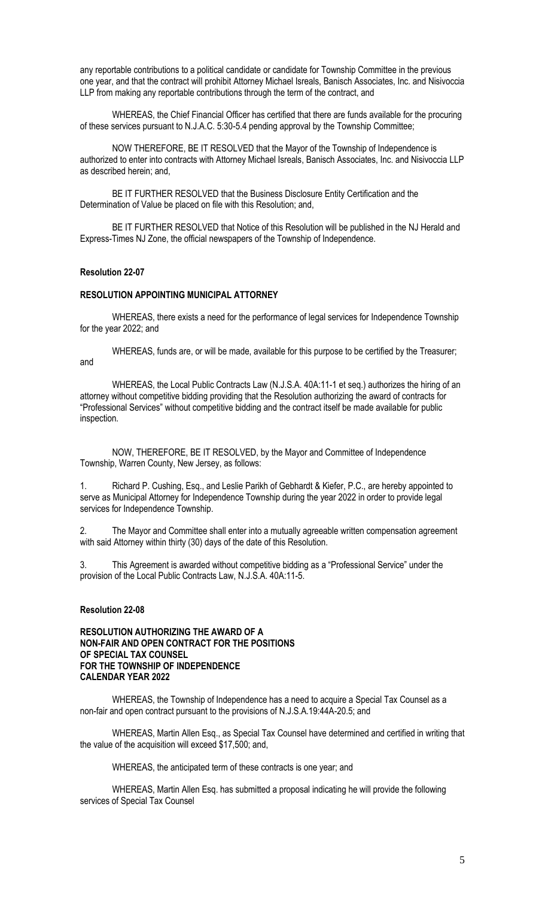any reportable contributions to a political candidate or candidate for Township Committee in the previous one year, and that the contract will prohibit Attorney Michael Isreals, Banisch Associates, Inc. and Nisivoccia LLP from making any reportable contributions through the term of the contract, and

WHEREAS, the Chief Financial Officer has certified that there are funds available for the procuring of these services pursuant to N.J.A.C. 5:30-5.4 pending approval by the Township Committee;

NOW THEREFORE, BE IT RESOLVED that the Mayor of the Township of Independence is authorized to enter into contracts with Attorney Michael Isreals, Banisch Associates, Inc. and Nisivoccia LLP as described herein; and,

BE IT FURTHER RESOLVED that the Business Disclosure Entity Certification and the Determination of Value be placed on file with this Resolution; and,

BE IT FURTHER RESOLVED that Notice of this Resolution will be published in the NJ Herald and Express-Times NJ Zone, the official newspapers of the Township of Independence.

### **Resolution 22-07**

## **RESOLUTION APPOINTING MUNICIPAL ATTORNEY**

WHEREAS, there exists a need for the performance of legal services for Independence Township for the year 2022; and

WHEREAS, funds are, or will be made, available for this purpose to be certified by the Treasurer; and

WHEREAS, the Local Public Contracts Law (N.J.S.A. 40A:11-1 et seq.) authorizes the hiring of an attorney without competitive bidding providing that the Resolution authorizing the award of contracts for "Professional Services" without competitive bidding and the contract itself be made available for public inspection.

NOW, THEREFORE, BE IT RESOLVED, by the Mayor and Committee of Independence Township, Warren County, New Jersey, as follows:

1. Richard P. Cushing, Esq., and Leslie Parikh of Gebhardt & Kiefer, P.C., are hereby appointed to serve as Municipal Attorney for Independence Township during the year 2022 in order to provide legal services for Independence Township.

2. The Mayor and Committee shall enter into a mutually agreeable written compensation agreement with said Attorney within thirty (30) days of the date of this Resolution.

3. This Agreement is awarded without competitive bidding as a "Professional Service" under the provision of the Local Public Contracts Law, N.J.S.A. 40A:11-5.

# **Resolution 22-08**

**RESOLUTION AUTHORIZING THE AWARD OF A NON-FAIR AND OPEN CONTRACT FOR THE POSITIONS OF SPECIAL TAX COUNSEL FOR THE TOWNSHIP OF INDEPENDENCE CALENDAR YEAR 2022**

WHEREAS, the Township of Independence has a need to acquire a Special Tax Counsel as a non-fair and open contract pursuant to the provisions of N.J.S.A.19:44A-20.5; and

WHEREAS, Martin Allen Esq., as Special Tax Counsel have determined and certified in writing that the value of the acquisition will exceed \$17,500; and,

WHEREAS, the anticipated term of these contracts is one year; and

WHEREAS, Martin Allen Esq. has submitted a proposal indicating he will provide the following services of Special Tax Counsel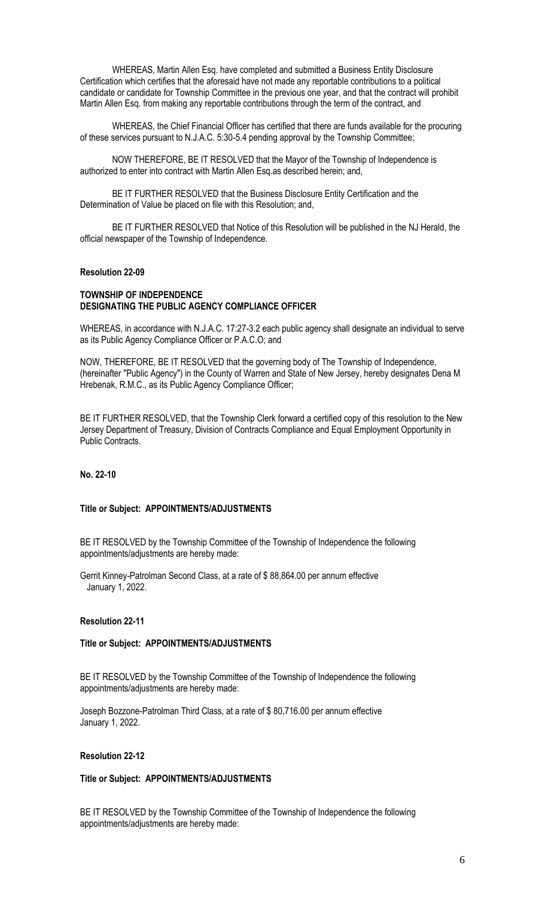WHEREAS, Martin Allen Esq. have completed and submitted a Business Entity Disclosure Certification which certifies that the aforesaid have not made any reportable contributions to a political candidate or candidate for Township Committee in the previous one year, and that the contract will prohibit Martin Allen Esq. from making any reportable contributions through the term of the contract, and

WHEREAS, the Chief Financial Officer has certified that there are funds available for the procuring of these services pursuant to N.J.A.C. 5:30-5.4 pending approval by the Township Committee;

NOW THEREFORE, BE IT RESOLVED that the Mayor of the Township of Independence is authorized to enter into contract with Martin Allen Esq.as described herein; and,

BE IT FURTHER RESOLVED that the Business Disclosure Entity Certification and the Determination of Value be placed on file with this Resolution; and,

BE IT FURTHER RESOLVED that Notice of this Resolution will be published in the NJ Herald, the official newspaper of the Township of Independence.

### **Resolution 22-09**

## **TOWNSHIP OF INDEPENDENCE DESIGNATING THE PUBLIC AGENCY COMPLIANCE OFFICER**

WHEREAS, in accordance with N.J.A.C. 17:27-3.2 each public agency shall designate an individual to serve as its Public Agency Compliance Officer or P.A.C.O; and

NOW, THEREFORE, BE IT RESOLVED that the governing body of The Township of Independence, (hereinafter "Public Agency") in the County of Warren and State of New Jersey, hereby designates Dena M Hrebenak, R.M.C., as its Public Agency Compliance Officer;

BE IT FURTHER RESOLVED, that the Township Clerk forward a certified copy of this resolution to the New Jersey Department of Treasury, Division of Contracts Compliance and Equal Employment Opportunity in Public Contracts.

## **No. 22-10**

#### **Title or Subject: APPOINTMENTS/ADJUSTMENTS**

BE IT RESOLVED by the Township Committee of the Township of Independence the following appointments/adjustments are hereby made:

Gerrit Kinney-Patrolman Second Class, at a rate of \$ 88,864.00 per annum effective January 1, 2022.

#### **Resolution 22-11**

#### **Title or Subject: APPOINTMENTS/ADJUSTMENTS**

BE IT RESOLVED by the Township Committee of the Township of Independence the following appointments/adjustments are hereby made:

Joseph Bozzone-Patrolman Third Class, at a rate of \$ 80,716.00 per annum effective January 1, 2022.

## **Resolution 22-12**

#### **Title or Subject: APPOINTMENTS/ADJUSTMENTS**

BE IT RESOLVED by the Township Committee of the Township of Independence the following appointments/adjustments are hereby made: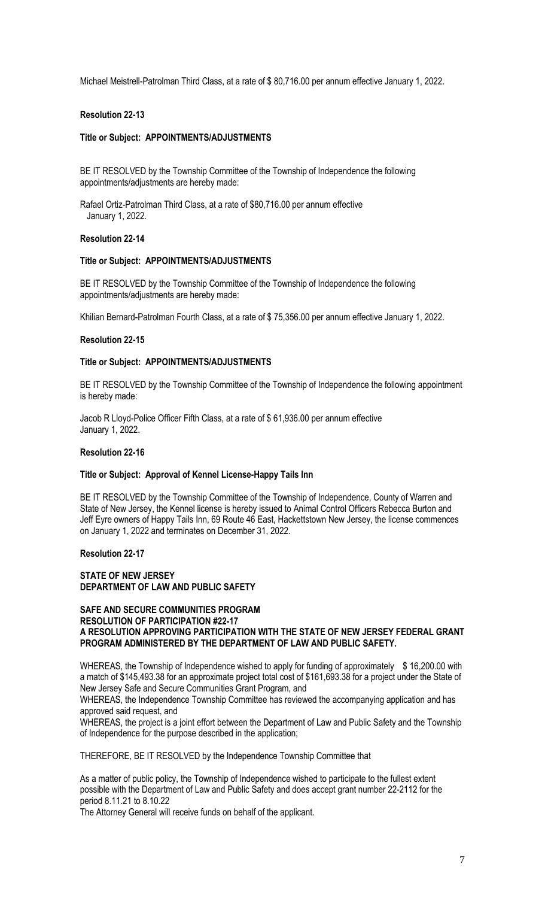Michael Meistrell-Patrolman Third Class, at a rate of \$ 80,716.00 per annum effective January 1, 2022.

## **Resolution 22-13**

## **Title or Subject: APPOINTMENTS/ADJUSTMENTS**

BE IT RESOLVED by the Township Committee of the Township of Independence the following appointments/adjustments are hereby made:

Rafael Ortiz-Patrolman Third Class, at a rate of \$80,716.00 per annum effective January 1, 2022.

## **Resolution 22-14**

#### **Title or Subject: APPOINTMENTS/ADJUSTMENTS**

BE IT RESOLVED by the Township Committee of the Township of Independence the following appointments/adjustments are hereby made:

Khilian Bernard-Patrolman Fourth Class, at a rate of \$ 75,356.00 per annum effective January 1, 2022.

#### **Resolution 22-15**

#### **Title or Subject: APPOINTMENTS/ADJUSTMENTS**

BE IT RESOLVED by the Township Committee of the Township of Independence the following appointment is hereby made:

Jacob R Lloyd-Police Officer Fifth Class, at a rate of \$ 61,936.00 per annum effective January 1, 2022.

## **Resolution 22-16**

### **Title or Subject: Approval of Kennel License-Happy Tails Inn**

BE IT RESOLVED by the Township Committee of the Township of Independence, County of Warren and State of New Jersey, the Kennel license is hereby issued to Animal Control Officers Rebecca Burton and Jeff Eyre owners of Happy Tails Inn, 69 Route 46 East, Hackettstown New Jersey, the license commences on January 1, 2022 and terminates on December 31, 2022.

**Resolution 22-17**

#### **STATE OF NEW JERSEY DEPARTMENT OF LAW AND PUBLIC SAFETY**

## **SAFE AND SECURE COMMUNITIES PROGRAM RESOLUTION OF PARTICIPATION #22-17 A RESOLUTION APPROVING PARTICIPATION WITH THE STATE OF NEW JERSEY FEDERAL GRANT PROGRAM ADMINISTERED BY THE DEPARTMENT OF LAW AND PUBLIC SAFETY.**

WHEREAS, the Township of Independence wished to apply for funding of approximately \$16,200.00 with a match of \$145,493.38 for an approximate project total cost of \$161,693.38 for a project under the State of New Jersey Safe and Secure Communities Grant Program, and

WHEREAS, the Independence Township Committee has reviewed the accompanying application and has approved said request, and

WHEREAS, the project is a joint effort between the Department of Law and Public Safety and the Township of Independence for the purpose described in the application;

THEREFORE, BE IT RESOLVED by the Independence Township Committee that

As a matter of public policy, the Township of Independence wished to participate to the fullest extent possible with the Department of Law and Public Safety and does accept grant number 22-2112 for the period 8.11.21 to 8.10.22

The Attorney General will receive funds on behalf of the applicant.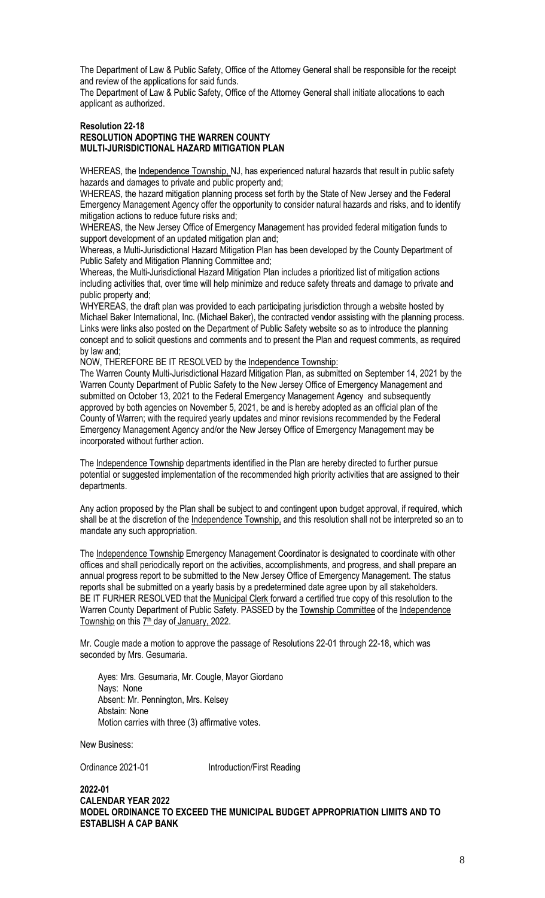The Department of Law & Public Safety, Office of the Attorney General shall be responsible for the receipt and review of the applications for said funds.

The Department of Law & Public Safety, Office of the Attorney General shall initiate allocations to each applicant as authorized.

### **Resolution 22-18 RESOLUTION ADOPTING THE WARREN COUNTY MULTI-JURISDICTIONAL HAZARD MITIGATION PLAN**

WHEREAS, the Independence Township, NJ, has experienced natural hazards that result in public safety hazards and damages to private and public property and;

WHEREAS, the hazard mitigation planning process set forth by the State of New Jersey and the Federal Emergency Management Agency offer the opportunity to consider natural hazards and risks, and to identify mitigation actions to reduce future risks and;

WHEREAS, the New Jersey Office of Emergency Management has provided federal mitigation funds to support development of an updated mitigation plan and;

Whereas, a Multi-Jurisdictional Hazard Mitigation Plan has been developed by the County Department of Public Safety and Mitigation Planning Committee and;

Whereas, the Multi-Jurisdictional Hazard Mitigation Plan includes a prioritized list of mitigation actions including activities that, over time will help minimize and reduce safety threats and damage to private and public property and;

WHYEREAS, the draft plan was provided to each participating jurisdiction through a website hosted by Michael Baker International, Inc. (Michael Baker), the contracted vendor assisting with the planning process. Links were links also posted on the Department of Public Safety website so as to introduce the planning concept and to solicit questions and comments and to present the Plan and request comments, as required by law and;

NOW, THEREFORE BE IT RESOLVED by the Independence Township:

The Warren County Multi-Jurisdictional Hazard Mitigation Plan, as submitted on September 14, 2021 by the Warren County Department of Public Safety to the New Jersey Office of Emergency Management and submitted on October 13, 2021 to the Federal Emergency Management Agency and subsequently approved by both agencies on November 5, 2021, be and is hereby adopted as an official plan of the County of Warren; with the required yearly updates and minor revisions recommended by the Federal Emergency Management Agency and/or the New Jersey Office of Emergency Management may be incorporated without further action.

The Independence Township departments identified in the Plan are hereby directed to further pursue potential or suggested implementation of the recommended high priority activities that are assigned to their departments.

Any action proposed by the Plan shall be subject to and contingent upon budget approval, if required, which shall be at the discretion of the Independence Township, and this resolution shall not be interpreted so an to mandate any such appropriation.

The Independence Township Emergency Management Coordinator is designated to coordinate with other offices and shall periodically report on the activities, accomplishments, and progress, and shall prepare an annual progress report to be submitted to the New Jersey Office of Emergency Management. The status reports shall be submitted on a yearly basis by a predetermined date agree upon by all stakeholders. BE IT FURHER RESOLVED that the Municipal Clerk forward a certified true copy of this resolution to the Warren County Department of Public Safety. PASSED by the Township Committee of the Independence Township on this 7<sup>th</sup> day of January, 2022.

Mr. Cougle made a motion to approve the passage of Resolutions 22-01 through 22-18, which was seconded by Mrs. Gesumaria.

 Ayes: Mrs. Gesumaria, Mr. Cougle, Mayor Giordano Nays: None Absent: Mr. Pennington, Mrs. Kelsey Abstain: None Motion carries with three (3) affirmative votes.

New Business:

Ordinance 2021-01 Introduction/First Reading

**2022-01 CALENDAR YEAR 2022 MODEL ORDINANCE TO EXCEED THE MUNICIPAL BUDGET APPROPRIATION LIMITS AND TO ESTABLISH A CAP BANK**